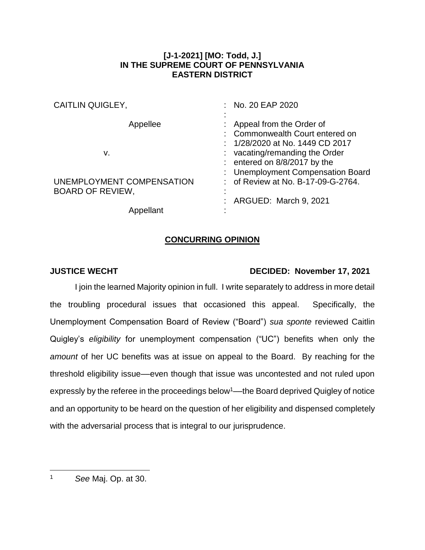## **[J-1-2021] [MO: Todd, J.] IN THE SUPREME COURT OF PENNSYLVANIA EASTERN DISTRICT**

| <b>CAITLIN QUIGLEY,</b>   | : No. 20 EAP 2020                  |
|---------------------------|------------------------------------|
|                           |                                    |
| Appellee                  | Appeal from the Order of           |
|                           | Commonwealth Court entered on      |
|                           | : $1/28/2020$ at No. 1449 CD 2017  |
| v.                        | $:$ vacating/remanding the Order   |
|                           | $:$ entered on 8/8/2017 by the     |
|                           | : Unemployment Compensation Board  |
| UNEMPLOYMENT COMPENSATION | : of Review at No. B-17-09-G-2764. |
| <b>BOARD OF REVIEW,</b>   |                                    |
|                           | ARGUED: March 9, 2021              |
| Appellant                 |                                    |

## **CONCURRING OPINION**

## **JUSTICE WECHT DECIDED: November 17, 2021**

I join the learned Majority opinion in full. I write separately to address in more detail the troubling procedural issues that occasioned this appeal. Specifically, the Unemployment Compensation Board of Review ("Board") *sua sponte* reviewed Caitlin Quigley's *eligibility* for unemployment compensation ("UC") benefits when only the *amount* of her UC benefits was at issue on appeal to the Board. By reaching for the threshold eligibility issue––even though that issue was uncontested and not ruled upon expressly by the referee in the proceedings below<sup>1</sup>—the Board deprived Quigley of notice and an opportunity to be heard on the question of her eligibility and dispensed completely with the adversarial process that is integral to our jurisprudence.

 $\overline{a}$ 

<sup>1</sup> *See* Maj. Op. at 30.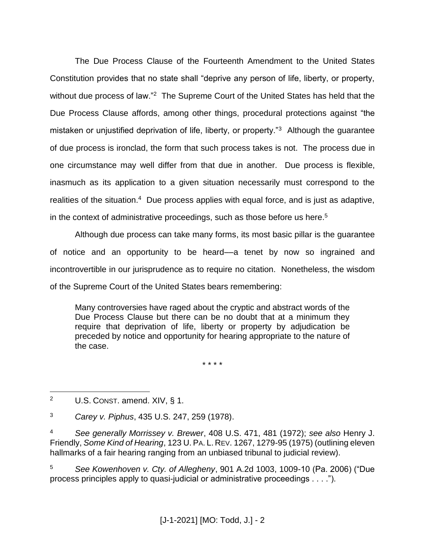The Due Process Clause of the Fourteenth Amendment to the United States Constitution provides that no state shall "deprive any person of life, liberty, or property, without due process of law."<sup>2</sup> The Supreme Court of the United States has held that the Due Process Clause affords, among other things, procedural protections against "the mistaken or unjustified deprivation of life, liberty, or property."<sup>3</sup> Although the guarantee of due process is ironclad, the form that such process takes is not. The process due in one circumstance may well differ from that due in another. Due process is flexible, inasmuch as its application to a given situation necessarily must correspond to the realities of the situation.<sup>4</sup> Due process applies with equal force, and is just as adaptive, in the context of administrative proceedings, such as those before us here. 5

Although due process can take many forms, its most basic pillar is the guarantee of notice and an opportunity to be heard––a tenet by now so ingrained and incontrovertible in our jurisprudence as to require no citation. Nonetheless, the wisdom of the Supreme Court of the United States bears remembering:

Many controversies have raged about the cryptic and abstract words of the Due Process Clause but there can be no doubt that at a minimum they require that deprivation of life, liberty or property by adjudication be preceded by notice and opportunity for hearing appropriate to the nature of the case.

\* \* \* \*

 $\overline{a}$ <sup>2</sup> U.S. CONST. amend.  $XIV, § 1$ .

<sup>3</sup> *Carey v. Piphus*, 435 U.S. 247, 259 (1978).

<sup>4</sup> *See generally Morrissey v. Brewer*, 408 U.S. 471, 481 (1972); *see also* Henry J. Friendly, *Some Kind of Hearing*, 123 U. PA. L. REV. 1267, 1279-95 (1975) (outlining eleven hallmarks of a fair hearing ranging from an unbiased tribunal to judicial review).

<sup>5</sup> *See Kowenhoven v. Cty. of Allegheny*, 901 A.2d 1003, 1009-10 (Pa. 2006) ("Due process principles apply to quasi-judicial or administrative proceedings . . . .").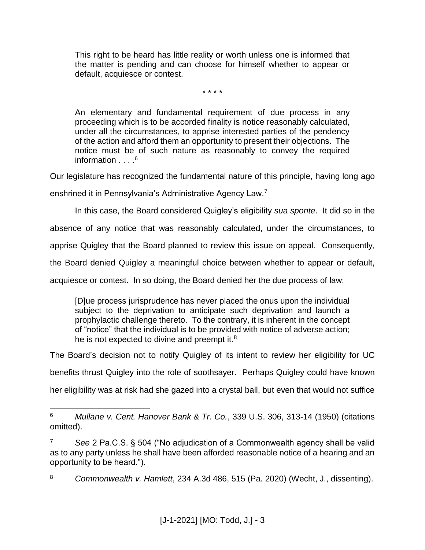This right to be heard has little reality or worth unless one is informed that the matter is pending and can choose for himself whether to appear or default, acquiesce or contest.

\* \* \* \*

An elementary and fundamental requirement of due process in any proceeding which is to be accorded finality is notice reasonably calculated, under all the circumstances, to apprise interested parties of the pendency of the action and afford them an opportunity to present their objections. The notice must be of such nature as reasonably to convey the required information  $\ldots$ <sup>6</sup>

Our legislature has recognized the fundamental nature of this principle, having long ago

enshrined it in Pennsylvania's Administrative Agency Law.<sup>7</sup>

 $\overline{a}$ 

In this case, the Board considered Quigley's eligibility *sua sponte*. It did so in the

absence of any notice that was reasonably calculated, under the circumstances, to

apprise Quigley that the Board planned to review this issue on appeal. Consequently,

the Board denied Quigley a meaningful choice between whether to appear or default,

acquiesce or contest. In so doing, the Board denied her the due process of law:

[D]ue process jurisprudence has never placed the onus upon the individual subject to the deprivation to anticipate such deprivation and launch a prophylactic challenge thereto. To the contrary, it is inherent in the concept of "notice" that the individual is to be provided with notice of adverse action; he is not expected to divine and preempt it. $8$ 

The Board's decision not to notify Quigley of its intent to review her eligibility for UC

benefits thrust Quigley into the role of soothsayer. Perhaps Quigley could have known

her eligibility was at risk had she gazed into a crystal ball, but even that would not suffice

<sup>6</sup> *Mullane v. Cent. Hanover Bank & Tr. Co.*, 339 U.S. 306, 313-14 (1950) (citations omitted).

<sup>7</sup> *See* 2 Pa.C.S. § 504 ("No adjudication of a Commonwealth agency shall be valid as to any party unless he shall have been afforded reasonable notice of a hearing and an opportunity to be heard.").

<sup>8</sup> *Commonwealth v. Hamlett*, 234 A.3d 486, 515 (Pa. 2020) (Wecht, J., dissenting).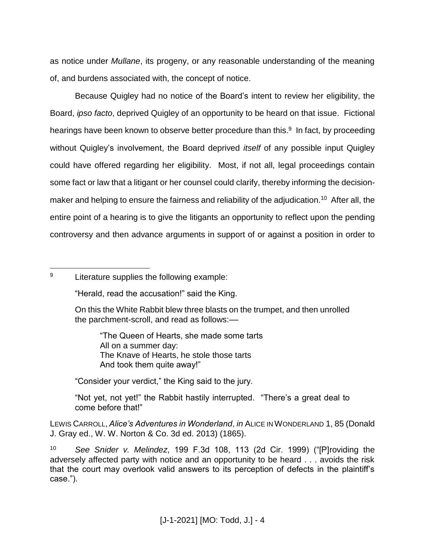as notice under *Mullane*, its progeny, or any reasonable understanding of the meaning of, and burdens associated with, the concept of notice.

Because Quigley had no notice of the Board's intent to review her eligibility, the Board, *ipso facto*, deprived Quigley of an opportunity to be heard on that issue. Fictional hearings have been known to observe better procedure than this.<sup>9</sup> In fact, by proceeding without Quigley's involvement, the Board deprived *itself* of any possible input Quigley could have offered regarding her eligibility. Most, if not all, legal proceedings contain some fact or law that a litigant or her counsel could clarify, thereby informing the decisionmaker and helping to ensure the fairness and reliability of the adjudication.<sup>10</sup> After all, the entire point of a hearing is to give the litigants an opportunity to reflect upon the pending controversy and then advance arguments in support of or against a position in order to

 $\overline{a}$ <sup>9</sup> Literature supplies the following example:

"Herald, read the accusation!" said the King.

On this the White Rabbit blew three blasts on the trumpet, and then unrolled the parchment-scroll, and read as follows:––

"The Queen of Hearts, she made some tarts All on a summer day: The Knave of Hearts, he stole those tarts And took them quite away!"

"Consider your verdict," the King said to the jury.

"Not yet, not yet!" the Rabbit hastily interrupted. "There's a great deal to come before that!"

LEWIS CARROLL, *Alice's Adventures in Wonderland*, *in* ALICE IN WONDERLAND 1, 85 (Donald J. Gray ed., W. W. Norton & Co. 3d ed. 2013) (1865).

<sup>10</sup> *See Snider v. Melindez*, 199 F.3d 108, 113 (2d Cir. 1999) ("[P]roviding the adversely affected party with notice and an opportunity to be heard . . . avoids the risk that the court may overlook valid answers to its perception of defects in the plaintiff's case.").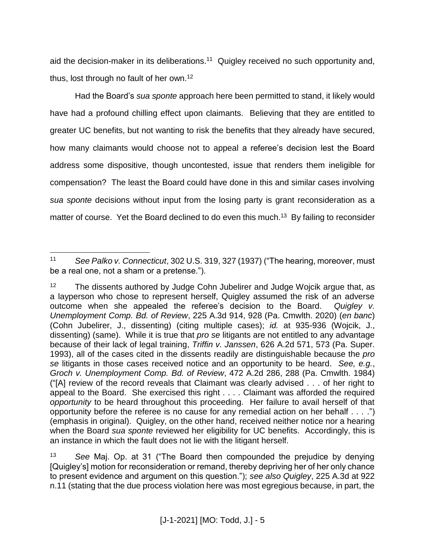aid the decision-maker in its deliberations.<sup>11</sup> Quigley received no such opportunity and, thus, lost through no fault of her own.<sup>12</sup>

Had the Board's *sua sponte* approach here been permitted to stand, it likely would have had a profound chilling effect upon claimants. Believing that they are entitled to greater UC benefits, but not wanting to risk the benefits that they already have secured, how many claimants would choose not to appeal a referee's decision lest the Board address some dispositive, though uncontested, issue that renders them ineligible for compensation? The least the Board could have done in this and similar cases involving *sua sponte* decisions without input from the losing party is grant reconsideration as a matter of course. Yet the Board declined to do even this much.<sup>13</sup> By failing to reconsider

 $\overline{a}$ <sup>11</sup> *See Palko v. Connecticut*, 302 U.S. 319, 327 (1937) ("The hearing, moreover, must be a real one, not a sham or a pretense.").

<sup>&</sup>lt;sup>12</sup> The dissents authored by Judge Cohn Jubelirer and Judge Wojcik argue that, as a layperson who chose to represent herself, Quigley assumed the risk of an adverse outcome when she appealed the referee's decision to the Board. *Quigley v. Unemployment Comp. Bd. of Review*, 225 A.3d 914, 928 (Pa. Cmwlth. 2020) (*en banc*) (Cohn Jubelirer, J., dissenting) (citing multiple cases); *id.* at 935-936 (Wojcik, J., dissenting) (same). While it is true that *pro se* litigants are not entitled to any advantage because of their lack of legal training, *Triffin v. Janssen*, 626 A.2d 571, 573 (Pa. Super. 1993), all of the cases cited in the dissents readily are distinguishable because the *pro se* litigants in those cases received notice and an opportunity to be heard. *See, e.g.*, *Groch v. Unemployment Comp. Bd. of Review*, 472 A.2d 286, 288 (Pa. Cmwlth. 1984) ("[A] review of the record reveals that Claimant was clearly advised . . . of her right to appeal to the Board. She exercised this right . . . . Claimant was afforded the required *opportunity* to be heard throughout this proceeding. Her failure to avail herself of that opportunity before the referee is no cause for any remedial action on her behalf . . . .") (emphasis in original). Quigley, on the other hand, received neither notice nor a hearing when the Board *sua sponte* reviewed her eligibility for UC benefits. Accordingly, this is an instance in which the fault does not lie with the litigant herself.

<sup>13</sup> *See* Maj. Op. at 31 ("The Board then compounded the prejudice by denying [Quigley's] motion for reconsideration or remand, thereby depriving her of her only chance to present evidence and argument on this question."); *see also Quigley*, 225 A.3d at 922 n.11 (stating that the due process violation here was most egregious because, in part, the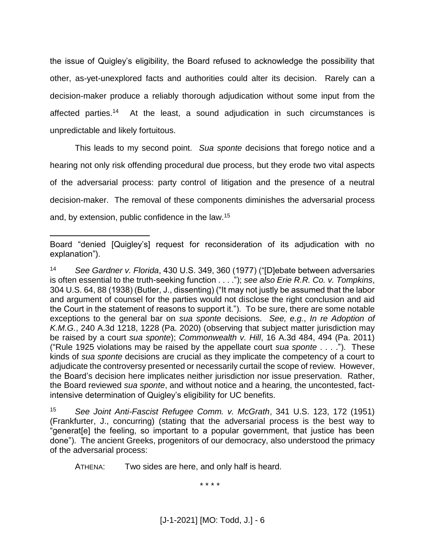the issue of Quigley's eligibility, the Board refused to acknowledge the possibility that other, as-yet-unexplored facts and authorities could alter its decision. Rarely can a decision-maker produce a reliably thorough adjudication without some input from the affected parties. 14 At the least, a sound adjudication in such circumstances is unpredictable and likely fortuitous.

This leads to my second point. *Sua sponte* decisions that forego notice and a hearing not only risk offending procedural due process, but they erode two vital aspects of the adversarial process: party control of litigation and the presence of a neutral decision-maker. The removal of these components diminishes the adversarial process and, by extension, public confidence in the law.<sup>15</sup>

 $\overline{a}$ 

<sup>15</sup> *See Joint Anti-Fascist Refugee Comm. v. McGrath*, 341 U.S. 123, 172 (1951) (Frankfurter, J., concurring) (stating that the adversarial process is the best way to "generat[e] the feeling, so important to a popular government, that justice has been done"). The ancient Greeks, progenitors of our democracy, also understood the primacy of the adversarial process:

ATHENA: Two sides are here, and only half is heard.

\* \* \* \*

Board "denied [Quigley's] request for reconsideration of its adjudication with no explanation").

<sup>14</sup> *See Gardner v. Florida*, 430 U.S. 349, 360 (1977) ("[D]ebate between adversaries is often essential to the truth-seeking function . . . ."); *see also Erie R.R. Co. v. Tompkins*, 304 U.S. 64, 88 (1938) (Butler, J., dissenting) ("It may not justly be assumed that the labor and argument of counsel for the parties would not disclose the right conclusion and aid the Court in the statement of reasons to support it."). To be sure, there are some notable exceptions to the general bar on *sua sponte* decisions. *See, e.g.*, *In re Adoption of K.M.G.*, 240 A.3d 1218, 1228 (Pa. 2020) (observing that subject matter jurisdiction may be raised by a court *sua sponte*); *Commonwealth v. Hill*, 16 A.3d 484, 494 (Pa. 2011) ("Rule 1925 violations may be raised by the appellate court *sua sponte* . . . ."). These kinds of *sua sponte* decisions are crucial as they implicate the competency of a court to adjudicate the controversy presented or necessarily curtail the scope of review. However, the Board's decision here implicates neither jurisdiction nor issue preservation. Rather, the Board reviewed *sua sponte*, and without notice and a hearing, the uncontested, factintensive determination of Quigley's eligibility for UC benefits.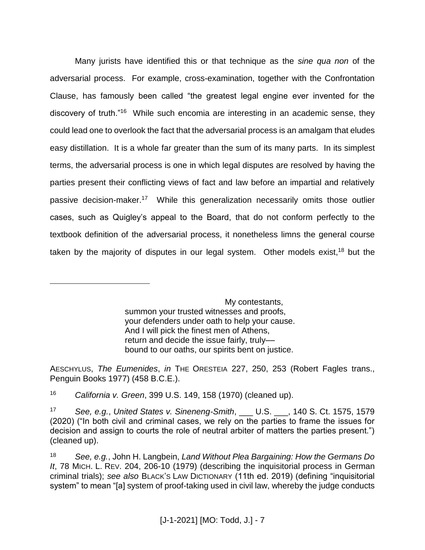Many jurists have identified this or that technique as the *sine qua non* of the adversarial process. For example, cross-examination, together with the Confrontation Clause, has famously been called "the greatest legal engine ever invented for the discovery of truth."<sup>16</sup> While such encomia are interesting in an academic sense, they could lead one to overlook the fact that the adversarial process is an amalgam that eludes easy distillation. It is a whole far greater than the sum of its many parts. In its simplest terms, the adversarial process is one in which legal disputes are resolved by having the parties present their conflicting views of fact and law before an impartial and relatively passive decision-maker.<sup>17</sup> While this generalization necessarily omits those outlier cases, such as Quigley's appeal to the Board, that do not conform perfectly to the textbook definition of the adversarial process, it nonetheless limns the general course taken by the majority of disputes in our legal system. Other models exist,<sup>18</sup> but the

> My contestants, summon your trusted witnesses and proofs, your defenders under oath to help your cause. And I will pick the finest men of Athens, return and decide the issue fairly, trulybound to our oaths, our spirits bent on justice.

AESCHYLUS, *The Eumenides*, *in* THE ORESTEIA 227, 250, 253 (Robert Fagles trans., Penguin Books 1977) (458 B.C.E.).

<sup>16</sup> *California v. Green*, 399 U.S. 149, 158 (1970) (cleaned up).

 $\overline{a}$ 

<sup>17</sup> *See, e.g.*, *United States v. Sineneng-Smith*, \_\_\_ U.S. \_\_\_, 140 S. Ct. 1575, 1579 (2020) ("In both civil and criminal cases, we rely on the parties to frame the issues for decision and assign to courts the role of neutral arbiter of matters the parties present.") (cleaned up).

<sup>18</sup> *See, e.g.*, John H. Langbein, *Land Without Plea Bargaining: How the Germans Do It*, 78 MICH. L. REV. 204, 206-10 (1979) (describing the inquisitorial process in German criminal trials); *see also* BLACK'S LAW DICTIONARY (11th ed. 2019) (defining "inquisitorial system" to mean "[a] system of proof-taking used in civil law, whereby the judge conducts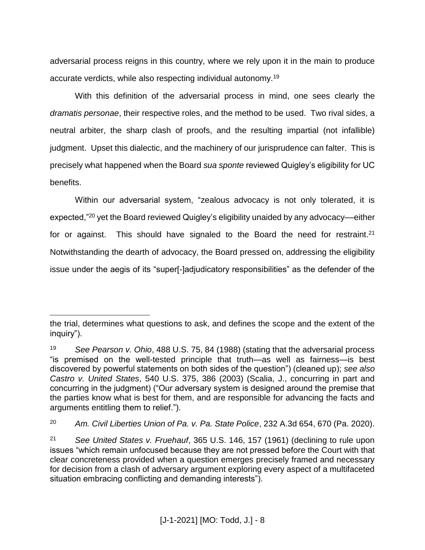adversarial process reigns in this country, where we rely upon it in the main to produce accurate verdicts, while also respecting individual autonomy.<sup>19</sup>

With this definition of the adversarial process in mind, one sees clearly the *dramatis personae*, their respective roles, and the method to be used. Two rival sides, a neutral arbiter, the sharp clash of proofs, and the resulting impartial (not infallible) judgment. Upset this dialectic, and the machinery of our jurisprudence can falter. This is precisely what happened when the Board *sua sponte* reviewed Quigley's eligibility for UC benefits.

Within our adversarial system, "zealous advocacy is not only tolerated, it is expected,"<sup>20</sup> yet the Board reviewed Quigley's eligibility unaided by any advocacy––either for or against. This should have signaled to the Board the need for restraint.<sup>21</sup> Notwithstanding the dearth of advocacy, the Board pressed on, addressing the eligibility issue under the aegis of its "super[-]adjudicatory responsibilities" as the defender of the

 $\overline{a}$ 

the trial, determines what questions to ask, and defines the scope and the extent of the inquiry").

<sup>19</sup> *See Pearson v. Ohio*, 488 U.S. 75, 84 (1988) (stating that the adversarial process "is premised on the well-tested principle that truth—as well as fairness—is best discovered by powerful statements on both sides of the question") (cleaned up); *see also Castro v. United States*, 540 U.S. 375, 386 (2003) (Scalia, J., concurring in part and concurring in the judgment) ("Our adversary system is designed around the premise that the parties know what is best for them, and are responsible for advancing the facts and arguments entitling them to relief.").

<sup>20</sup> *Am. Civil Liberties Union of Pa. v. Pa. State Police*, 232 A.3d 654, 670 (Pa. 2020).

<sup>21</sup> *See United States v. Fruehauf*, 365 U.S. 146, 157 (1961) (declining to rule upon issues "which remain unfocused because they are not pressed before the Court with that clear concreteness provided when a question emerges precisely framed and necessary for decision from a clash of adversary argument exploring every aspect of a multifaceted situation embracing conflicting and demanding interests").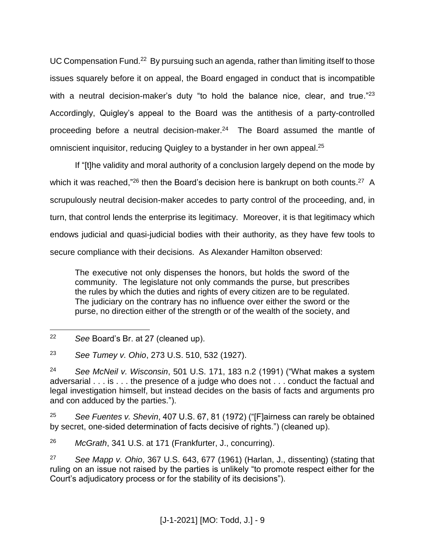UC Compensation Fund.<sup>22</sup> By pursuing such an agenda, rather than limiting itself to those issues squarely before it on appeal, the Board engaged in conduct that is incompatible with a neutral decision-maker's duty "to hold the balance nice, clear, and true."<sup>23</sup> Accordingly, Quigley's appeal to the Board was the antithesis of a party-controlled proceeding before a neutral decision-maker.<sup>24</sup> The Board assumed the mantle of omniscient inquisitor, reducing Quigley to a bystander in her own appeal.<sup>25</sup>

If "[t]he validity and moral authority of a conclusion largely depend on the mode by which it was reached,"<sup>26</sup> then the Board's decision here is bankrupt on both counts.<sup>27</sup> A scrupulously neutral decision-maker accedes to party control of the proceeding, and, in turn, that control lends the enterprise its legitimacy. Moreover, it is that legitimacy which endows judicial and quasi-judicial bodies with their authority, as they have few tools to secure compliance with their decisions. As Alexander Hamilton observed:

The executive not only dispenses the honors, but holds the sword of the community. The legislature not only commands the purse, but prescribes the rules by which the duties and rights of every citizen are to be regulated. The judiciary on the contrary has no influence over either the sword or the purse, no direction either of the strength or of the wealth of the society, and

<sup>25</sup> *See Fuentes v. Shevin*, 407 U.S. 67, 81 (1972) ("[F]airness can rarely be obtained by secret, one-sided determination of facts decisive of rights.") (cleaned up).

<sup>26</sup> *McGrath*, 341 U.S. at 171 (Frankfurter, J., concurring).

<sup>27</sup> *See Mapp v. Ohio*, 367 U.S. 643, 677 (1961) (Harlan, J., dissenting) (stating that ruling on an issue not raised by the parties is unlikely "to promote respect either for the Court's adjudicatory process or for the stability of its decisions").

 $\overline{a}$ <sup>22</sup> *See* Board's Br. at 27 (cleaned up).

<sup>23</sup> *See Tumey v. Ohio*, 273 U.S. 510, 532 (1927).

<sup>24</sup> *See McNeil v. Wisconsin*, 501 U.S. 171, 183 n.2 (1991) ("What makes a system adversarial . . . is . . . the presence of a judge who does not . . . conduct the factual and legal investigation himself, but instead decides on the basis of facts and arguments pro and con adduced by the parties.").